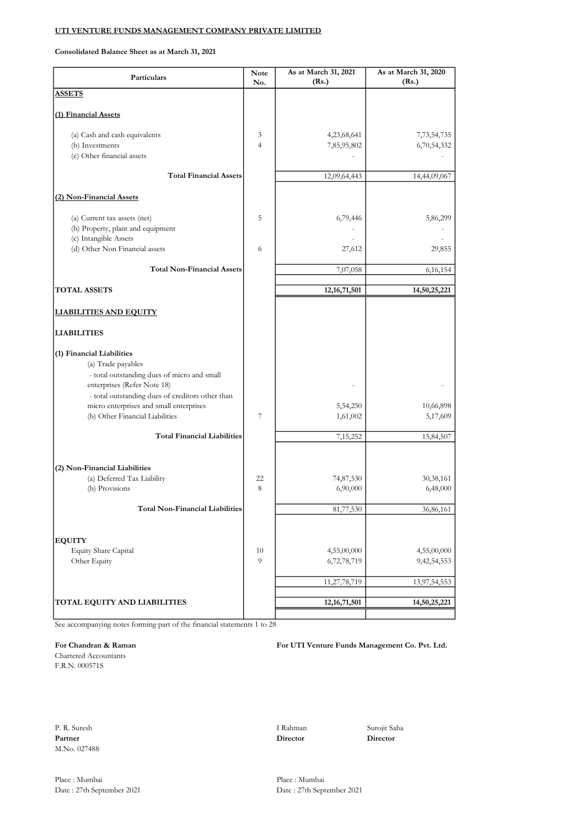Consolidated Balance Sheet as at March 31, 2021

| Particulars                                                                                 | <b>Note</b><br>No. | As at March 31, 2021<br>(Rs.) | As at March 31, 2020<br>(Rs.) |
|---------------------------------------------------------------------------------------------|--------------------|-------------------------------|-------------------------------|
| <b>ASSETS</b>                                                                               |                    |                               |                               |
|                                                                                             |                    |                               |                               |
| (1) Financial Assets                                                                        |                    |                               |                               |
| (a) Cash and cash equivalents                                                               | 3                  | 4,23,68,641                   | 7,73,54,735                   |
| (b) Investments<br>(c) Other financial assets                                               | $\overline{4}$     | 7,85,95,802                   | 6,70,54,332                   |
|                                                                                             |                    |                               |                               |
| <b>Total Financial Assets</b>                                                               |                    | 12,09,64,443                  | 14,44,09,067                  |
| (2) Non-Financial Assets                                                                    |                    |                               |                               |
|                                                                                             |                    |                               |                               |
| (a) Current tax assets (net)<br>(b) Property, plant and equipment                           | 5                  | 6,79,446                      | 5,86,299                      |
| (c) Intangible Assets                                                                       |                    |                               |                               |
| (d) Other Non Financial assets                                                              | 6                  | 27,612                        | 29,855                        |
| <b>Total Non-Financial Assets</b>                                                           |                    | 7,07,058                      | 6,16,154                      |
|                                                                                             |                    |                               |                               |
| <b>TOTAL ASSETS</b>                                                                         |                    | 12, 16, 71, 501               | 14,50,25,221                  |
| <b>LIABILITIES AND EQUITY</b>                                                               |                    |                               |                               |
| <b>LIABILITIES</b>                                                                          |                    |                               |                               |
| (1) Financial Liabilities                                                                   |                    |                               |                               |
| (a) Trade payables                                                                          |                    |                               |                               |
| - total outstanding dues of micro and small<br>enterprises (Refer Note 18)                  |                    |                               |                               |
| - total outstanding dues of creditors other than<br>micro enterprises and small enterprises |                    | 5,54,250                      | 10,66,898                     |
| (b) Other Financial Liabilities                                                             | $\overline{7}$     | 1,61,002                      | 5,17,609                      |
| <b>Total Financial Liabilities</b>                                                          |                    |                               |                               |
|                                                                                             |                    | 7,15,252                      | 15,84,507                     |
| (2) Non-Financial Liabilities                                                               |                    |                               |                               |
| (a) Deferred Tax Liability                                                                  | 22                 | 74,87,530                     | 30,38,161                     |
| (b) Provisions                                                                              | 8                  | 6,90,000                      | 6,48,000                      |
| Total Non-Financial Liabilities                                                             |                    | 81,77,530                     | 36,86,161                     |
|                                                                                             |                    |                               |                               |
| <b>EQUITY</b>                                                                               |                    |                               |                               |
| Equity Share Capital                                                                        | 10                 | 4,55,00,000                   | 4,55,00,000                   |
| Other Equity                                                                                | 9                  | 6,72,78,719                   | 9,42,54,553                   |
|                                                                                             |                    | 11,27,78,719                  | 13,97,54,553                  |
|                                                                                             |                    |                               |                               |
| TOTAL EQUITY AND LIABILITIES                                                                |                    | 12, 16, 71, 501               | 14,50,25,221                  |

See accompanying notes forming part of the financial statements 1 to 28

Chartered Accountants F.R.N. 000571S

For Chandran & Raman For UTI Venture Funds Management Co. Pvt. Ltd.

P. R. Suresh I Rahman Surojit Saha Partner Director Director Director M.No. 027488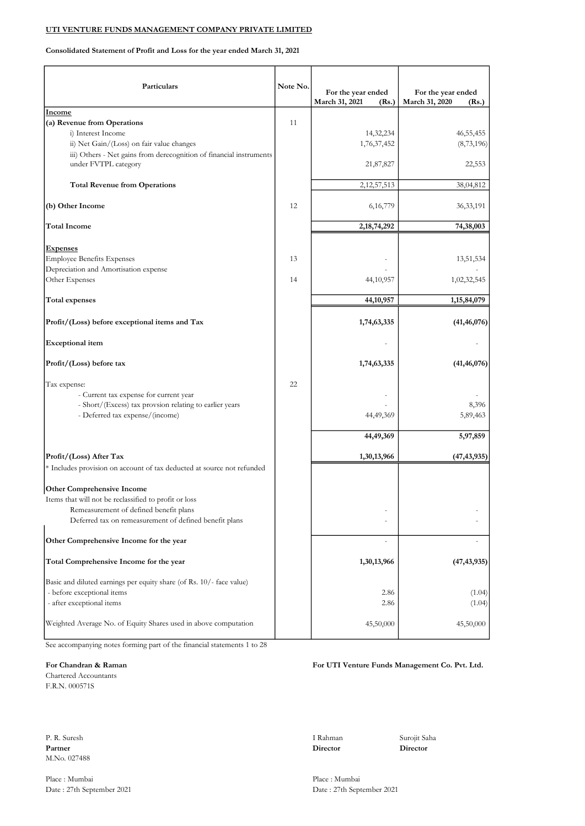Consolidated Statement of Profit and Loss for the year ended March 31, 2021

| Particulars                                                            | Note No. | For the year ended<br>March 31, 2021<br>(Rs.) | For the year ended<br>March 31, 2020<br>(Rs.) |
|------------------------------------------------------------------------|----------|-----------------------------------------------|-----------------------------------------------|
| Income                                                                 |          |                                               |                                               |
| (a) Revenue from Operations                                            | 11       |                                               |                                               |
| i) Interest Income<br>ii) Net Gain/(Loss) on fair value changes        |          | 14,32,234<br>1,76,37,452                      | 46, 55, 455<br>(8,73,196)                     |
| iii) Others - Net gains from derecognition of financial instruments    |          |                                               |                                               |
| under FVTPL category                                                   |          | 21,87,827                                     | 22,553                                        |
| <b>Total Revenue from Operations</b>                                   |          | 2, 12, 57, 513                                | 38,04,812                                     |
| (b) Other Income                                                       | 12       | 6, 16, 779                                    | 36, 33, 191                                   |
| <b>Total Income</b>                                                    |          | 2, 18, 74, 292                                | 74,38,003                                     |
| <b>Expenses</b>                                                        |          |                                               |                                               |
| <b>Employee Benefits Expenses</b>                                      | 13       |                                               | 13,51,534                                     |
| Depreciation and Amortisation expense<br>Other Expenses                | 14       | 44, 10, 957                                   | 1,02,32,545                                   |
| <b>Total expenses</b>                                                  |          | 44,10,957                                     | 1,15,84,079                                   |
| Profit/(Loss) before exceptional items and Tax                         |          | 1,74,63,335                                   | (41, 46, 076)                                 |
| <b>Exceptional</b> item                                                |          |                                               |                                               |
| Profit/(Loss) before tax                                               |          | 1,74,63,335                                   | (41, 46, 076)                                 |
| Tax expense:                                                           | 22       |                                               |                                               |
| - Current tax expense for current year                                 |          |                                               |                                               |
| - Short/(Excess) tax provsion relating to earlier years                |          |                                               | 8,396                                         |
| - Deferred tax expense/(income)                                        |          | 44,49,369                                     | 5,89,463                                      |
|                                                                        |          | 44,49,369                                     | 5,97,859                                      |
| Profit/(Loss) After Tax                                                |          | 1,30,13,966                                   | (47, 43, 935)                                 |
| * Includes provision on account of tax deducted at source not refunded |          |                                               |                                               |
| <b>Other Comprehensive Income</b>                                      |          |                                               |                                               |
| Items that will not be reclassified to profit or loss                  |          |                                               |                                               |
| Remeasurement of defined benefit plans                                 |          |                                               |                                               |
| Deferred tax on remeasurement of defined benefit plans                 |          |                                               |                                               |
| Other Comprehensive Income for the year                                |          |                                               |                                               |
| Total Comprehensive Income for the year                                |          | 1,30,13,966                                   | (47, 43, 935)                                 |
| Basic and diluted earnings per equity share (of Rs. 10/- face value)   |          |                                               |                                               |
| - before exceptional items                                             |          | 2.86                                          | (1.04)                                        |
| - after exceptional items                                              |          | 2.86                                          | (1.04)                                        |
| Weighted Average No. of Equity Shares used in above computation        |          | 45,50,000                                     | 45,50,000                                     |

See accompanying notes forming part of the financial statements 1 to 28

Chartered Accountants F.R.N. 000571S

P. R. Suresh I Rahman Surojit Saha Partner **Director** Director **Director** Director **Director** M.No. 027488

Place : Mumbai Place : Mumbai

#### For Chandran & Raman For UTI Venture Funds Management Co. Pvt. Ltd.

Date : 27th September 2021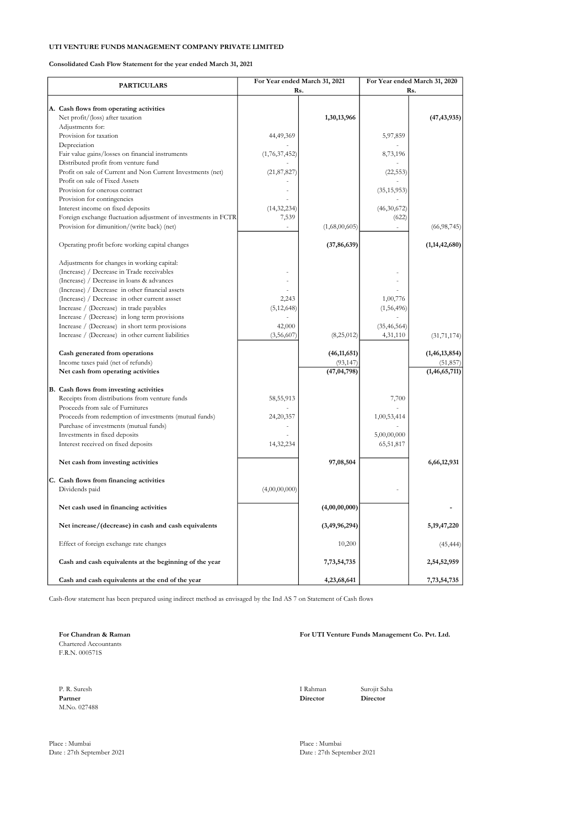Consolidated Cash Flow Statement for the year ended March 31, 2021

| <b>PARTICULARS</b>                                             |               | For Year ended March 31, 2021 |               | For Year ended March 31, 2020<br>Rs. |  |
|----------------------------------------------------------------|---------------|-------------------------------|---------------|--------------------------------------|--|
|                                                                |               | Rs.                           |               |                                      |  |
| A. Cash flows from operating activities                        |               |                               |               |                                      |  |
| Net profit/(loss) after taxation                               |               | 1,30,13,966                   |               | (47, 43, 935)                        |  |
| Adjustments for:                                               |               |                               |               |                                      |  |
| Provision for taxation                                         | 44,49,369     |                               | 5,97,859      |                                      |  |
| Depreciation                                                   |               |                               |               |                                      |  |
| Fair value gains/losses on financial instruments               | (1,76,37,452) |                               | 8,73,196      |                                      |  |
| Distributed profit from venture fund                           |               |                               |               |                                      |  |
| Profit on sale of Current and Non Current Investments (net)    | (21, 87, 827) |                               | (22, 553)     |                                      |  |
| Profit on sale of Fixed Assets                                 |               |                               |               |                                      |  |
| Provision for onerous contract                                 |               |                               | (35, 15, 953) |                                      |  |
| Provision for contingencies                                    |               |                               |               |                                      |  |
| Interest income on fixed deposits                              | (14, 32, 234) |                               | (46,30,672)   |                                      |  |
| Foreign exchange fluctuation adjustment of investments in FCTR | 7,539         |                               | (622)         |                                      |  |
| Provision for dimunition/(write back) (net)                    |               | (1,68,00,605)                 |               | (66,98,745)                          |  |
|                                                                |               |                               |               |                                      |  |
| Operating profit before working capital changes                |               | (37, 86, 639)                 |               | (1, 14, 42, 680)                     |  |
|                                                                |               |                               |               |                                      |  |
| Adjustments for changes in working capital:                    |               |                               |               |                                      |  |
| (Increase) / Decrease in Trade receivables                     |               |                               |               |                                      |  |
| (Increase) / Decrease in loans & advances                      |               |                               |               |                                      |  |
| (Increase) / Decrease in other financial assets                |               |                               |               |                                      |  |
| (Increase) / Decrease in other current assset                  | 2,243         |                               | 1,00,776      |                                      |  |
| Increase / (Decrease) in trade payables                        | (5, 12, 648)  |                               | (1,56,496)    |                                      |  |
| Increase / (Decrease) in long term provisions                  |               |                               |               |                                      |  |
| Increase / (Decrease) in short term provisions                 | 42,000        |                               | (35, 46, 564) |                                      |  |
| Increase / (Decrease) in other current liabilities             | (3,56,607)    | (8,25,012)                    | 4,31,110      | (31, 71, 174)                        |  |
|                                                                |               |                               |               |                                      |  |
| Cash generated from operations                                 |               | (46, 11, 651)                 |               | (1, 46, 13, 854)                     |  |
| Income taxes paid (net of refunds)                             |               | (93, 147)                     |               | (51, 857)                            |  |
| Net cash from operating activities                             |               | (47, 04, 798)                 |               | (1, 46, 65, 711)                     |  |
| B. Cash flows from investing activities                        |               |                               |               |                                      |  |
| Receipts from distributions from venture funds                 | 58,55,913     |                               | 7,700         |                                      |  |
| Proceeds from sale of Furnitures                               |               |                               |               |                                      |  |
| Proceeds from redemption of investments (mutual funds)         | 24,20,357     |                               | 1,00,53,414   |                                      |  |
| Purchase of investments (mutual funds)                         |               |                               |               |                                      |  |
| Investments in fixed deposits                                  |               |                               | 5,00,00,000   |                                      |  |
| Interest received on fixed deposits                            | 14,32,234     |                               | 65,51,817     |                                      |  |
|                                                                |               |                               |               |                                      |  |
| Net cash from investing activities                             |               | 97,08,504                     |               | 6,66,12,931                          |  |
|                                                                |               |                               |               |                                      |  |
| C. Cash flows from financing activities                        |               |                               |               |                                      |  |
| Dividends paid                                                 | (4,00,00,000) |                               |               |                                      |  |
|                                                                |               |                               |               |                                      |  |
| Net cash used in financing activities                          |               | (4,00,00,000)                 |               |                                      |  |
|                                                                |               |                               |               |                                      |  |
| Net increase/(decrease) in cash and cash equivalents           |               | (3, 49, 96, 294)              |               | 5, 19, 47, 220                       |  |
|                                                                |               |                               |               |                                      |  |
| Effect of foreign exchange rate changes                        |               | 10,200                        |               | (45, 444)                            |  |
|                                                                |               |                               |               |                                      |  |
| Cash and cash equivalents at the beginning of the year         |               | 7,73,54,735                   |               | 2,54,52,959                          |  |
| Cash and cash equivalents at the end of the year               |               | 4,23,68,641                   |               | 7,73,54,735                          |  |
|                                                                |               |                               |               |                                      |  |

Cash-flow statement has been prepared using indirect method as envisaged by the Ind AS 7 on Statement of Cash flows

Chartered Accountants F.R.N. 000571S

P. R. Suresh I Rahman Surojit Saha Partner Director Director Director M.No. 027488

Place : Mumbai Place : Mumbai

For Chandran & Raman For UTI Venture Funds Management Co. Pvt. Ltd.

Date : 27th September 2021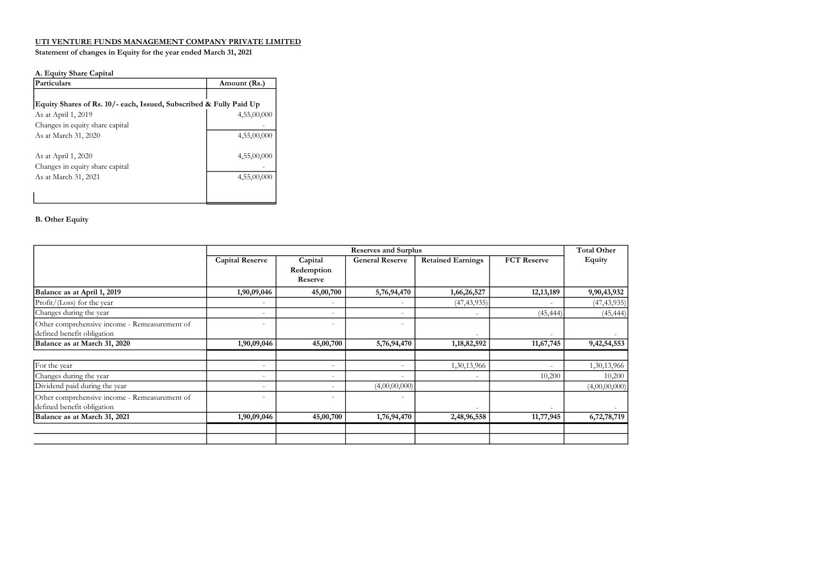#### Statement of changes in Equity for the year ended March 31, 2021

#### A. Equity Share Capital

| Particulars                                                        | Amount (Rs.) |
|--------------------------------------------------------------------|--------------|
| Equity Shares of Rs. 10/- each, Issued, Subscribed & Fully Paid Up |              |
| As at April 1, 2019                                                | 4,55,00,000  |
| Changes in equity share capital                                    |              |
| As at March 31, 2020                                               | 4,55,00,000  |
| As at April 1, 2020                                                | 4,55,00,000  |
| Changes in equity share capital                                    |              |
| As at March 31, 2021                                               | 4,55,00,000  |
|                                                                    |              |

#### B. Other Equity

|                                               | <b>Reserves and Surplus</b> |            |                          |                          |                    | <b>Total Other</b> |
|-----------------------------------------------|-----------------------------|------------|--------------------------|--------------------------|--------------------|--------------------|
|                                               | <b>Capital Reserve</b>      | Capital    | <b>General Reserve</b>   | <b>Retained Earnings</b> | <b>FCT</b> Reserve | Equity             |
|                                               |                             | Redemption |                          |                          |                    |                    |
|                                               |                             | Reserve    |                          |                          |                    |                    |
| Balance as at April 1, 2019                   | 1,90,09,046                 | 45,00,700  | 5,76,94,470              | 1,66,26,527              | 12, 13, 189        | 9,90,43,932        |
| $Profit / (Loss)$ for the year                | ۰                           | ٠          | $\sim$                   | (47, 43, 935)            |                    | (47, 43, 935)      |
| Changes during the year                       | ٠                           | ٠          | $\overline{\phantom{a}}$ | $\overline{\phantom{a}}$ | (45, 444)          | (45, 444)          |
| Other comprehensive income - Remeasurement of | ٠                           | ٠          | $\overline{\phantom{a}}$ |                          |                    |                    |
| defined benefit obligation                    |                             |            |                          |                          |                    |                    |
| Balance as at March 31, 2020                  | 1,90,09,046                 | 45,00,700  | 5,76,94,470              | 1,18,82,592              | 11,67,745          | 9,42,54,553        |
|                                               |                             |            |                          |                          |                    |                    |
| For the year                                  | ٠                           | ٠          | $\overline{\phantom{a}}$ | 1,30,13,966              |                    | 1,30,13,966        |
| Changes during the year                       | ۰                           | ٠          | $\overline{\phantom{a}}$ |                          | 10,200             | 10,200             |
| Dividend paid during the year                 | ٠                           |            | (4,00,00,000)            |                          |                    | (4,00,00,000)      |
| Other comprehensive income - Remeasurement of | ٠                           | -          |                          |                          |                    |                    |
| defined benefit obligation                    |                             |            |                          |                          |                    |                    |
| Balance as at March 31, 2021                  | 1,90,09,046                 | 45,00,700  | 1,76,94,470              | 2,48,96,558              | 11,77,945          | 6,72,78,719        |
|                                               |                             |            |                          |                          |                    |                    |
|                                               |                             |            |                          |                          |                    |                    |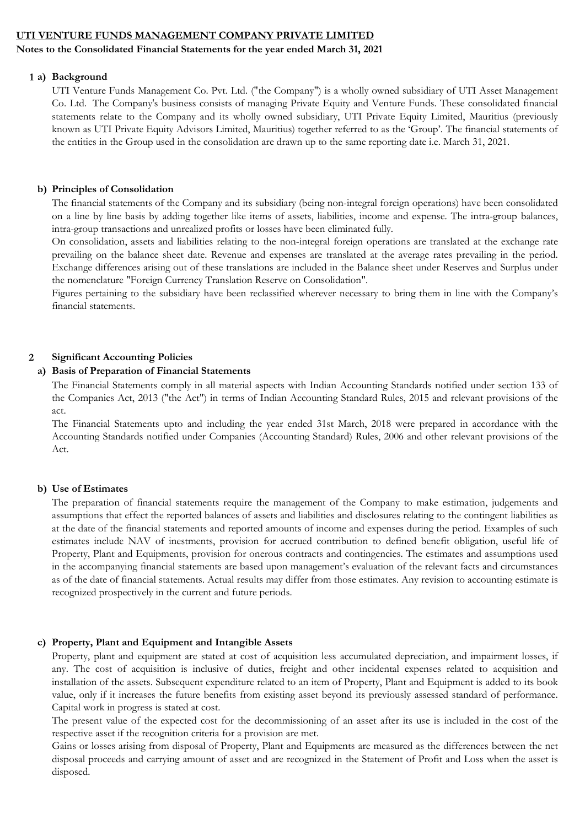## Notes to the Consolidated Financial Statements for the year ended March 31, 2021

### 1 a) Background

UTI Venture Funds Management Co. Pvt. Ltd. ("the Company") is a wholly owned subsidiary of UTI Asset Management Co. Ltd. The Company's business consists of managing Private Equity and Venture Funds. These consolidated financial statements relate to the Company and its wholly owned subsidiary, UTI Private Equity Limited, Mauritius (previously known as UTI Private Equity Advisors Limited, Mauritius) together referred to as the 'Group'. The financial statements of the entities in the Group used in the consolidation are drawn up to the same reporting date i.e. March 31, 2021.

## b) Principles of Consolidation

The financial statements of the Company and its subsidiary (being non-integral foreign operations) have been consolidated on a line by line basis by adding together like items of assets, liabilities, income and expense. The intra-group balances, intra-group transactions and unrealized profits or losses have been eliminated fully.

On consolidation, assets and liabilities relating to the non-integral foreign operations are translated at the exchange rate prevailing on the balance sheet date. Revenue and expenses are translated at the average rates prevailing in the period. Exchange differences arising out of these translations are included in the Balance sheet under Reserves and Surplus under the nomenclature "Foreign Currency Translation Reserve on Consolidation".

Figures pertaining to the subsidiary have been reclassified wherever necessary to bring them in line with the Company's financial statements.

## 2 Significant Accounting Policies

## a) Basis of Preparation of Financial Statements

The Financial Statements comply in all material aspects with Indian Accounting Standards notified under section 133 of the Companies Act, 2013 ("the Act") in terms of Indian Accounting Standard Rules, 2015 and relevant provisions of the act.

The Financial Statements upto and including the year ended 31st March, 2018 were prepared in accordance with the Accounting Standards notified under Companies (Accounting Standard) Rules, 2006 and other relevant provisions of the Act.

## b) Use of Estimates

The preparation of financial statements require the management of the Company to make estimation, judgements and assumptions that effect the reported balances of assets and liabilities and disclosures relating to the contingent liabilities as at the date of the financial statements and reported amounts of income and expenses during the period. Examples of such estimates include NAV of inestments, provision for accrued contribution to defined benefit obligation, useful life of Property, Plant and Equipments, provision for onerous contracts and contingencies. The estimates and assumptions used in the accompanying financial statements are based upon management's evaluation of the relevant facts and circumstances as of the date of financial statements. Actual results may differ from those estimates. Any revision to accounting estimate is recognized prospectively in the current and future periods.

## c) Property, Plant and Equipment and Intangible Assets

Property, plant and equipment are stated at cost of acquisition less accumulated depreciation, and impairment losses, if any. The cost of acquisition is inclusive of duties, freight and other incidental expenses related to acquisition and installation of the assets. Subsequent expenditure related to an item of Property, Plant and Equipment is added to its book value, only if it increases the future benefits from existing asset beyond its previously assessed standard of performance. Capital work in progress is stated at cost.

The present value of the expected cost for the decommissioning of an asset after its use is included in the cost of the respective asset if the recognition criteria for a provision are met.

Gains or losses arising from disposal of Property, Plant and Equipments are measured as the differences between the net disposal proceeds and carrying amount of asset and are recognized in the Statement of Profit and Loss when the asset is disposed.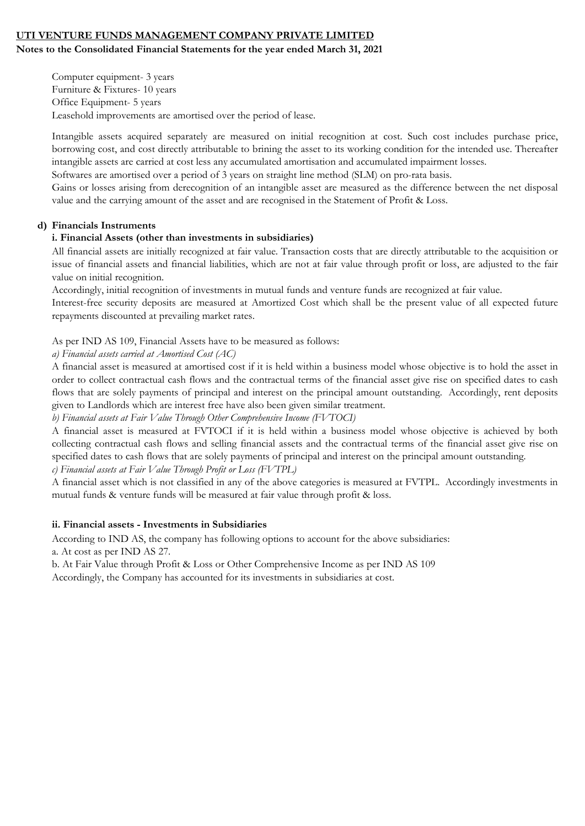## Notes to the Consolidated Financial Statements for the year ended March 31, 2021

Computer equipment- 3 years Furniture & Fixtures- 10 years Office Equipment- 5 years Leasehold improvements are amortised over the period of lease.

Intangible assets acquired separately are measured on initial recognition at cost. Such cost includes purchase price, borrowing cost, and cost directly attributable to brining the asset to its working condition for the intended use. Thereafter intangible assets are carried at cost less any accumulated amortisation and accumulated impairment losses.

Softwares are amortised over a period of 3 years on straight line method (SLM) on pro-rata basis.

Gains or losses arising from derecognition of an intangible asset are measured as the difference between the net disposal value and the carrying amount of the asset and are recognised in the Statement of Profit & Loss.

# d) Financials Instruments

## i. Financial Assets (other than investments in subsidiaries)

All financial assets are initially recognized at fair value. Transaction costs that are directly attributable to the acquisition or issue of financial assets and financial liabilities, which are not at fair value through profit or loss, are adjusted to the fair value on initial recognition.

Accordingly, initial recognition of investments in mutual funds and venture funds are recognized at fair value.

Interest-free security deposits are measured at Amortized Cost which shall be the present value of all expected future repayments discounted at prevailing market rates.

As per IND AS 109, Financial Assets have to be measured as follows:

a) Financial assets carried at Amortised Cost (AC)

A financial asset is measured at amortised cost if it is held within a business model whose objective is to hold the asset in order to collect contractual cash flows and the contractual terms of the financial asset give rise on specified dates to cash flows that are solely payments of principal and interest on the principal amount outstanding. Accordingly, rent deposits given to Landlords which are interest free have also been given similar treatment.

b) Financial assets at Fair Value Through Other Comprehensive Income (FVTOCI)

A financial asset is measured at FVTOCI if it is held within a business model whose objective is achieved by both collecting contractual cash flows and selling financial assets and the contractual terms of the financial asset give rise on specified dates to cash flows that are solely payments of principal and interest on the principal amount outstanding.

c) Financial assets at Fair Value Through Profit or Loss (FVTPL)

A financial asset which is not classified in any of the above categories is measured at FVTPL. Accordingly investments in mutual funds & venture funds will be measured at fair value through profit & loss.

## ii. Financial assets - Investments in Subsidiaries

According to IND AS, the company has following options to account for the above subsidiaries: a. At cost as per IND AS 27.

b. At Fair Value through Profit & Loss or Other Comprehensive Income as per IND AS 109 Accordingly, the Company has accounted for its investments in subsidiaries at cost.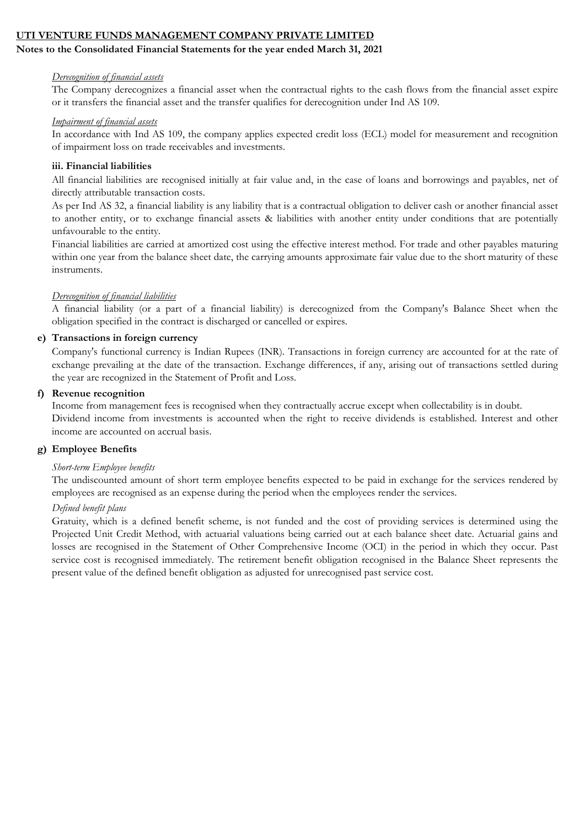## Notes to the Consolidated Financial Statements for the year ended March 31, 2021

#### Derecognition of financial assets

The Company derecognizes a financial asset when the contractual rights to the cash flows from the financial asset expire or it transfers the financial asset and the transfer qualifies for derecognition under Ind AS 109.

#### Impairment of financial assets

In accordance with Ind AS 109, the company applies expected credit loss (ECL) model for measurement and recognition of impairment loss on trade receivables and investments.

## iii. Financial liabilities

All financial liabilities are recognised initially at fair value and, in the case of loans and borrowings and payables, net of directly attributable transaction costs.

As per Ind AS 32, a financial liability is any liability that is a contractual obligation to deliver cash or another financial asset to another entity, or to exchange financial assets & liabilities with another entity under conditions that are potentially unfavourable to the entity.

Financial liabilities are carried at amortized cost using the effective interest method. For trade and other payables maturing within one year from the balance sheet date, the carrying amounts approximate fair value due to the short maturity of these instruments.

## Derecognition of financial liabilities

A financial liability (or a part of a financial liability) is derecognized from the Company's Balance Sheet when the obligation specified in the contract is discharged or cancelled or expires.

#### e) Transactions in foreign currency

Company's functional currency is Indian Rupees (INR). Transactions in foreign currency are accounted for at the rate of exchange prevailing at the date of the transaction. Exchange differences, if any, arising out of transactions settled during the year are recognized in the Statement of Profit and Loss.

## f) Revenue recognition

Income from management fees is recognised when they contractually accrue except when collectability is in doubt. Dividend income from investments is accounted when the right to receive dividends is established. Interest and other income are accounted on accrual basis.

# g) Employee Benefits

## Short-term Employee benefits

The undiscounted amount of short term employee benefits expected to be paid in exchange for the services rendered by employees are recognised as an expense during the period when the employees render the services.

#### Defined benefit plans

Gratuity, which is a defined benefit scheme, is not funded and the cost of providing services is determined using the Projected Unit Credit Method, with actuarial valuations being carried out at each balance sheet date. Actuarial gains and losses are recognised in the Statement of Other Comprehensive Income (OCI) in the period in which they occur. Past service cost is recognised immediately. The retirement benefit obligation recognised in the Balance Sheet represents the present value of the defined benefit obligation as adjusted for unrecognised past service cost.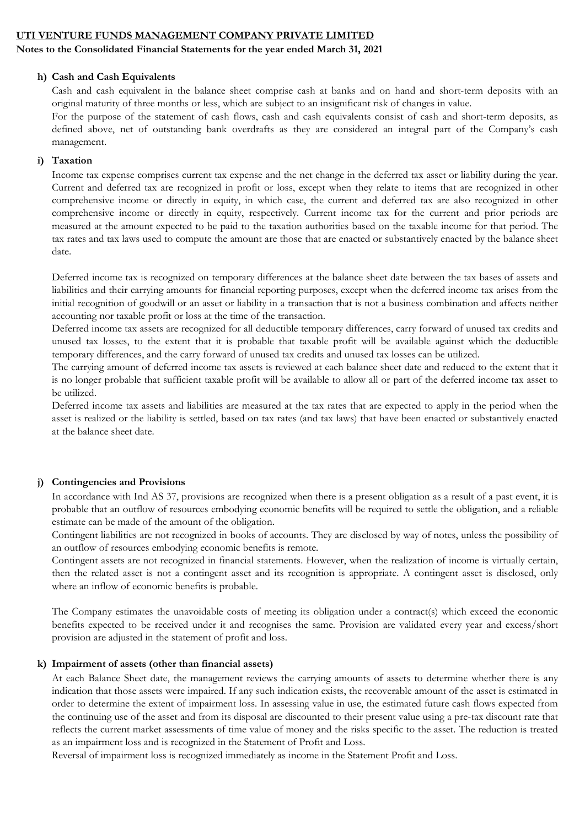## Notes to the Consolidated Financial Statements for the year ended March 31, 2021

### h) Cash and Cash Equivalents

Cash and cash equivalent in the balance sheet comprise cash at banks and on hand and short-term deposits with an original maturity of three months or less, which are subject to an insignificant risk of changes in value.

For the purpose of the statement of cash flows, cash and cash equivalents consist of cash and short-term deposits, as defined above, net of outstanding bank overdrafts as they are considered an integral part of the Company's cash management.

## i) Taxation

Income tax expense comprises current tax expense and the net change in the deferred tax asset or liability during the year. Current and deferred tax are recognized in profit or loss, except when they relate to items that are recognized in other comprehensive income or directly in equity, in which case, the current and deferred tax are also recognized in other comprehensive income or directly in equity, respectively. Current income tax for the current and prior periods are measured at the amount expected to be paid to the taxation authorities based on the taxable income for that period. The tax rates and tax laws used to compute the amount are those that are enacted or substantively enacted by the balance sheet date.

Deferred income tax is recognized on temporary differences at the balance sheet date between the tax bases of assets and liabilities and their carrying amounts for financial reporting purposes, except when the deferred income tax arises from the initial recognition of goodwill or an asset or liability in a transaction that is not a business combination and affects neither accounting nor taxable profit or loss at the time of the transaction.

Deferred income tax assets are recognized for all deductible temporary differences, carry forward of unused tax credits and unused tax losses, to the extent that it is probable that taxable profit will be available against which the deductible temporary differences, and the carry forward of unused tax credits and unused tax losses can be utilized.

The carrying amount of deferred income tax assets is reviewed at each balance sheet date and reduced to the extent that it is no longer probable that sufficient taxable profit will be available to allow all or part of the deferred income tax asset to be utilized.

Deferred income tax assets and liabilities are measured at the tax rates that are expected to apply in the period when the asset is realized or the liability is settled, based on tax rates (and tax laws) that have been enacted or substantively enacted at the balance sheet date.

## j) Contingencies and Provisions

In accordance with Ind AS 37, provisions are recognized when there is a present obligation as a result of a past event, it is probable that an outflow of resources embodying economic benefits will be required to settle the obligation, and a reliable estimate can be made of the amount of the obligation.

Contingent liabilities are not recognized in books of accounts. They are disclosed by way of notes, unless the possibility of an outflow of resources embodying economic benefits is remote.

Contingent assets are not recognized in financial statements. However, when the realization of income is virtually certain, then the related asset is not a contingent asset and its recognition is appropriate. A contingent asset is disclosed, only where an inflow of economic benefits is probable.

The Company estimates the unavoidable costs of meeting its obligation under a contract(s) which exceed the economic benefits expected to be received under it and recognises the same. Provision are validated every year and excess/short provision are adjusted in the statement of profit and loss.

#### k) Impairment of assets (other than financial assets)

At each Balance Sheet date, the management reviews the carrying amounts of assets to determine whether there is any indication that those assets were impaired. If any such indication exists, the recoverable amount of the asset is estimated in order to determine the extent of impairment loss. In assessing value in use, the estimated future cash flows expected from the continuing use of the asset and from its disposal are discounted to their present value using a pre-tax discount rate that reflects the current market assessments of time value of money and the risks specific to the asset. The reduction is treated as an impairment loss and is recognized in the Statement of Profit and Loss.

Reversal of impairment loss is recognized immediately as income in the Statement Profit and Loss.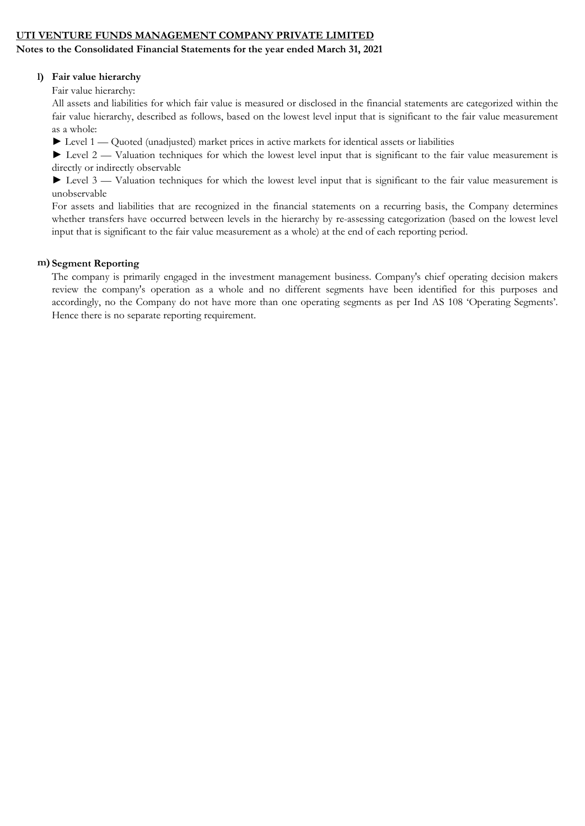## Notes to the Consolidated Financial Statements for the year ended March 31, 2021

## l) Fair value hierarchy

Fair value hierarchy:

All assets and liabilities for which fair value is measured or disclosed in the financial statements are categorized within the fair value hierarchy, described as follows, based on the lowest level input that is significant to the fair value measurement as a whole:

► Level 1 — Quoted (unadjusted) market prices in active markets for identical assets or liabilities

► Level 2 — Valuation techniques for which the lowest level input that is significant to the fair value measurement is directly or indirectly observable

► Level 3 — Valuation techniques for which the lowest level input that is significant to the fair value measurement is unobservable

For assets and liabilities that are recognized in the financial statements on a recurring basis, the Company determines whether transfers have occurred between levels in the hierarchy by re-assessing categorization (based on the lowest level input that is significant to the fair value measurement as a whole) at the end of each reporting period.

## m) Segment Reporting

The company is primarily engaged in the investment management business. Company's chief operating decision makers review the company's operation as a whole and no different segments have been identified for this purposes and accordingly, no the Company do not have more than one operating segments as per Ind AS 108 'Operating Segments'. Hence there is no separate reporting requirement.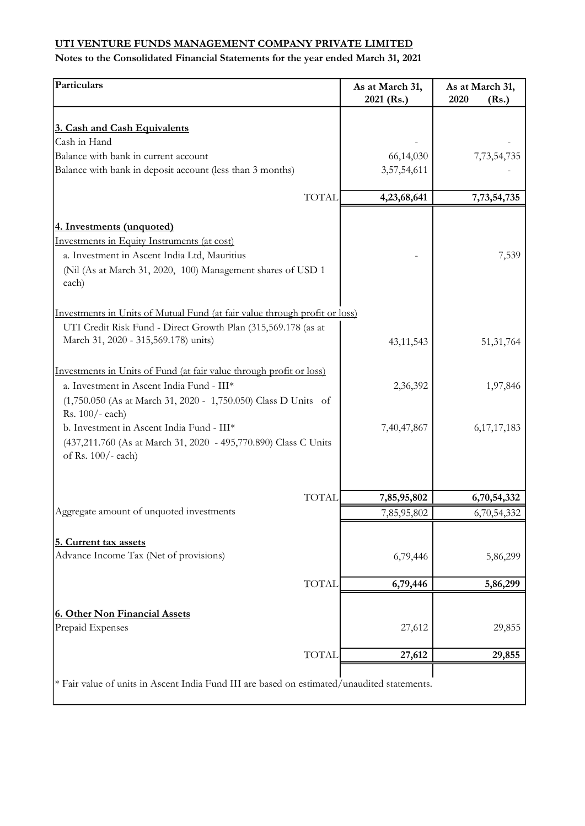| Particulars                                                                                                                                                                         | As at March 31,<br>2021 (Rs.) | As at March 31,<br>2020<br>(Rs.) |
|-------------------------------------------------------------------------------------------------------------------------------------------------------------------------------------|-------------------------------|----------------------------------|
|                                                                                                                                                                                     |                               |                                  |
| 3. Cash and Cash Equivalents                                                                                                                                                        |                               |                                  |
| Cash in Hand                                                                                                                                                                        |                               |                                  |
| Balance with bank in current account<br>Balance with bank in deposit account (less than 3 months)                                                                                   | 66,14,030<br>3,57,54,611      | 7,73,54,735                      |
|                                                                                                                                                                                     |                               |                                  |
| <b>TOTAL</b>                                                                                                                                                                        | 4,23,68,641                   | 7,73,54,735                      |
| 4. Investments (unquoted)                                                                                                                                                           |                               |                                  |
| Investments in Equity Instruments (at cost)                                                                                                                                         |                               |                                  |
| a. Investment in Ascent India Ltd, Mauritius                                                                                                                                        |                               | 7,539                            |
| (Nil (As at March 31, 2020, 100) Management shares of USD 1<br>each)                                                                                                                |                               |                                  |
| Investments in Units of Mutual Fund (at fair value through profit or loss)<br>UTI Credit Risk Fund - Direct Growth Plan (315,569.178 (as at<br>March 31, 2020 - 315,569.178) units) | 43, 11, 543                   | 51, 31, 764                      |
| Investments in Units of Fund (at fair value through profit or loss)<br>a. Investment in Ascent India Fund - III*<br>(1,750.050 (As at March 31, 2020 - 1,750.050) Class D Units of  | 2,36,392                      | 1,97,846                         |
| Rs. 100/- each)<br>b. Investment in Ascent India Fund - III*<br>(437,211.760 (As at March 31, 2020 - 495,770.890) Class C Units<br>of Rs. 100/- each)                               | 7,40,47,867                   | 6, 17, 17, 183                   |
| <b>TOTAL</b>                                                                                                                                                                        | 7,85,95,802                   | 6,70,54,332                      |
| Aggregate amount of unquoted investments                                                                                                                                            | 7,85,95,802                   | 6,70,54,332                      |
|                                                                                                                                                                                     |                               |                                  |
| 5. Current tax assets<br>Advance Income Tax (Net of provisions)                                                                                                                     | 6,79,446                      | 5,86,299                         |
| <b>TOTAL</b>                                                                                                                                                                        | 6,79,446                      | 5,86,299                         |
|                                                                                                                                                                                     |                               |                                  |
| <b>6. Other Non Financial Assets</b><br>Prepaid Expenses                                                                                                                            | 27,612                        | 29,855                           |
| <b>TOTAL</b>                                                                                                                                                                        | 27,612                        | 29,855                           |
| * Fair value of units in Ascent India Fund III are based on estimated/unaudited statements.                                                                                         |                               |                                  |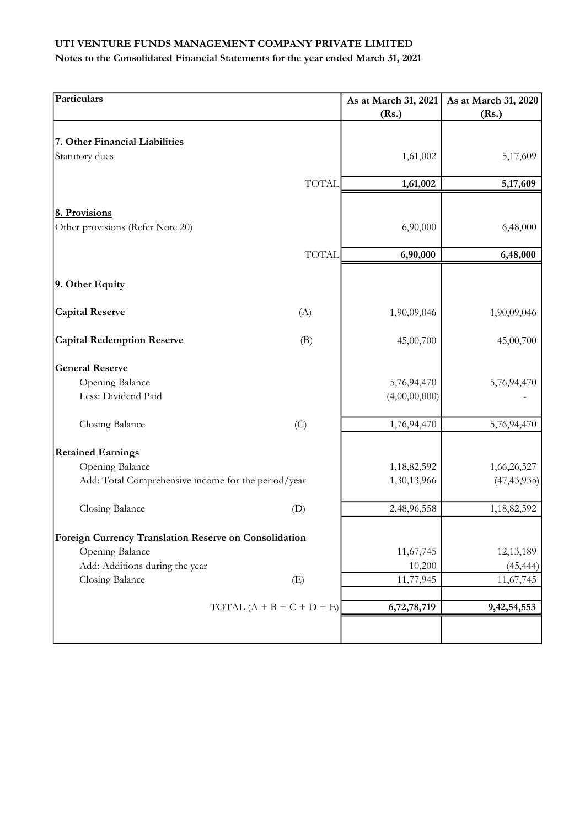| Particulars                                           |              | As at March 31, 2021<br>(Rs.) | As at March 31, 2020<br>(Rs.) |
|-------------------------------------------------------|--------------|-------------------------------|-------------------------------|
| 7. Other Financial Liabilities                        |              |                               |                               |
| Statutory dues                                        |              | 1,61,002                      | 5,17,609                      |
|                                                       | <b>TOTAL</b> | 1,61,002                      | 5,17,609                      |
| 8. Provisions                                         |              |                               |                               |
| Other provisions (Refer Note 20)                      |              | 6,90,000                      | 6,48,000                      |
|                                                       | <b>TOTAL</b> | 6,90,000                      | 6,48,000                      |
| 9. Other Equity                                       |              |                               |                               |
| <b>Capital Reserve</b>                                | (A)          | 1,90,09,046                   | 1,90,09,046                   |
| <b>Capital Redemption Reserve</b>                     | (B)          | 45,00,700                     | 45,00,700                     |
| <b>General Reserve</b>                                |              |                               |                               |
| Opening Balance                                       |              | 5,76,94,470                   | 5,76,94,470                   |
| Less: Dividend Paid                                   |              | (4,00,00,000)                 |                               |
| Closing Balance                                       | (C)          | 1,76,94,470                   | 5,76,94,470                   |
| <b>Retained Earnings</b>                              |              |                               |                               |
| Opening Balance                                       |              | 1,18,82,592                   | 1,66,26,527                   |
| Add: Total Comprehensive income for the period/year   |              | 1,30,13,966                   | (47, 43, 935)                 |
| Closing Balance<br>(D)                                |              | 2,48,96,558                   | 1,18,82,592                   |
| Foreign Currency Translation Reserve on Consolidation |              |                               |                               |
| Opening Balance                                       |              | 11,67,745                     | 12,13,189                     |
| Add: Additions during the year                        |              | 10,200                        | (45, 444)                     |
| Closing Balance<br>(E)                                |              | 11,77,945                     | 11,67,745                     |
| TOTAL $(A + B + C + D + E)$                           |              | 6,72,78,719                   | 9, 42, 54, 553                |
|                                                       |              |                               |                               |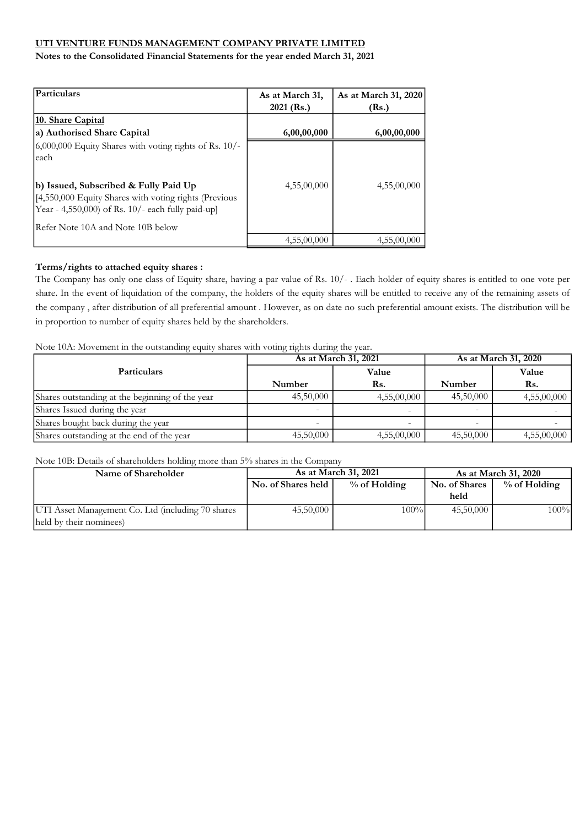Notes to the Consolidated Financial Statements for the year ended March 31, 2021

| <b>Particulars</b>                                                                                                                                                 | As at March 31,<br>$2021$ (Rs.) | As at March 31, 2020<br>(Rs.) |
|--------------------------------------------------------------------------------------------------------------------------------------------------------------------|---------------------------------|-------------------------------|
| <b>10. Share Capital</b><br>a) Authorised Share Capital                                                                                                            | 6,00,00,000                     | 6,00,00,000                   |
| $6,000,000$ Equity Shares with voting rights of Rs. 10/-<br>each<br>b) Issued, Subscribed & Fully Paid Up<br>[4,550,000 Equity Shares with voting rights (Previous | 4,55,00,000                     | 4,55,00,000                   |
| Year - 4,550,000) of Rs. 10/- each fully paid-up]<br>Refer Note 10A and Note 10B below                                                                             |                                 |                               |
|                                                                                                                                                                    | 4,55,00,000                     | 4,55,00,000                   |

# Terms/rights to attached equity shares :

The Company has only one class of Equity share, having a par value of Rs. 10/- . Each holder of equity shares is entitled to one vote per share. In the event of liquidation of the company, the holders of the equity shares will be entitled to receive any of the remaining assets of the company , after distribution of all preferential amount . However, as on date no such preferential amount exists. The distribution will be in proportion to number of equity shares held by the shareholders.

Note 10A: Movement in the outstanding equity shares with voting rights during the year.

|                                                 |           | As at March 31, 2021     | As at March 31, 2020 |             |  |
|-------------------------------------------------|-----------|--------------------------|----------------------|-------------|--|
| <b>Particulars</b>                              |           | Value                    |                      | Value       |  |
|                                                 | Number    | Rs.                      | Number               | Rs.         |  |
| Shares outstanding at the beginning of the year | 45,50,000 | 4,55,00,000              | 45,50,000            | 4,55,00,000 |  |
| Shares Issued during the year                   |           |                          | -                    |             |  |
| Shares bought back during the year              |           | $\overline{\phantom{a}}$ |                      |             |  |
| Shares outstanding at the end of the year       | 45,50,000 | 4,55,00,000              | 45,50,000            | 4,55,00,000 |  |

Note 10B: Details of shareholders holding more than 5% shares in the Company

| Name of Shareholder                               |                    | As at March 31, 2021 | As at March 31, 2020 |              |  |
|---------------------------------------------------|--------------------|----------------------|----------------------|--------------|--|
|                                                   | No. of Shares held | $%$ of Holding       | No. of Shares        | % of Holding |  |
|                                                   |                    |                      | held                 |              |  |
| UTI Asset Management Co. Ltd (including 70 shares | 45,50,000          | 100%                 | 45,50,000            | 100%         |  |
| held by their nominees)                           |                    |                      |                      |              |  |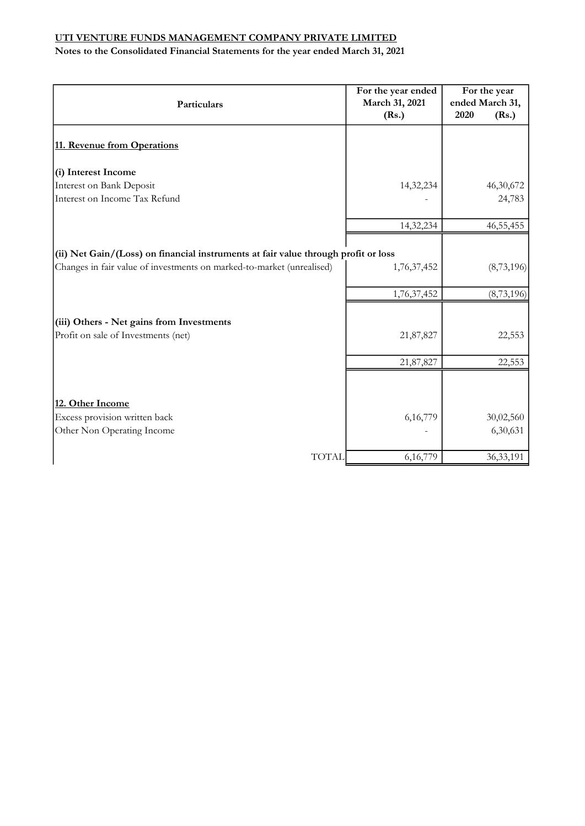| Particulars                                                                        | For the year ended<br>March 31, 2021<br>(Rs.) | For the year<br>ended March 31,<br>2020<br>(Rs.) |
|------------------------------------------------------------------------------------|-----------------------------------------------|--------------------------------------------------|
| 11. Revenue from Operations                                                        |                                               |                                                  |
| (i) Interest Income                                                                |                                               |                                                  |
| Interest on Bank Deposit                                                           | 14,32,234                                     | 46,30,672                                        |
| Interest on Income Tax Refund                                                      |                                               | 24,783                                           |
|                                                                                    | 14,32,234                                     | 46, 55, 455                                      |
| (ii) Net Gain/(Loss) on financial instruments at fair value through profit or loss |                                               |                                                  |
| Changes in fair value of investments on marked-to-market (unrealised)              | 1,76,37,452                                   | (8,73,196)                                       |
|                                                                                    | 1,76,37,452                                   | (8, 73, 196)                                     |
| (iii) Others - Net gains from Investments                                          |                                               |                                                  |
| Profit on sale of Investments (net)                                                | 21,87,827                                     | 22,553                                           |
|                                                                                    | 21,87,827                                     | 22,553                                           |
|                                                                                    |                                               |                                                  |
| 12. Other Income                                                                   |                                               |                                                  |
| Excess provision written back                                                      | 6,16,779                                      | 30,02,560                                        |
| Other Non Operating Income                                                         |                                               | 6,30,631                                         |
| <b>TOTAL</b>                                                                       | 6,16,779                                      | 36, 33, 191                                      |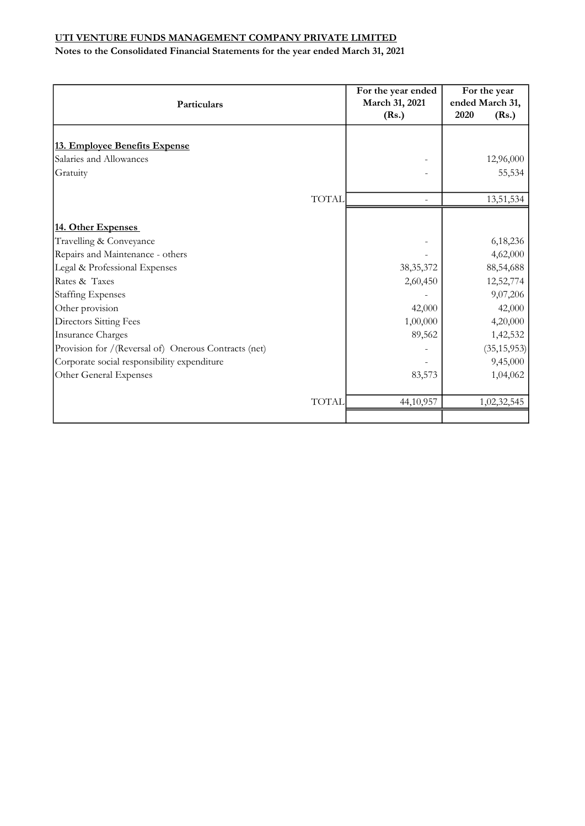| Particulars                                          |              | For the year ended<br>March 31, 2021<br>(Rs.) | For the year<br>ended March 31,<br>2020<br>(Rs.) |
|------------------------------------------------------|--------------|-----------------------------------------------|--------------------------------------------------|
|                                                      |              |                                               |                                                  |
| 13. Employee Benefits Expense                        |              |                                               |                                                  |
| Salaries and Allowances                              |              |                                               | 12,96,000                                        |
| Gratuity                                             |              |                                               | 55,534                                           |
|                                                      |              |                                               |                                                  |
|                                                      | <b>TOTAL</b> |                                               | 13,51,534                                        |
|                                                      |              |                                               |                                                  |
| 14. Other Expenses                                   |              |                                               |                                                  |
| Travelling & Conveyance                              |              |                                               | 6,18,236                                         |
| Repairs and Maintenance - others                     |              |                                               | 4,62,000                                         |
| Legal & Professional Expenses                        |              | 38, 35, 372                                   | 88,54,688                                        |
| Rates & Taxes                                        |              | 2,60,450                                      | 12,52,774                                        |
| <b>Staffing Expenses</b>                             |              |                                               | 9,07,206                                         |
| Other provision                                      |              | 42,000                                        | 42,000                                           |
| <b>Directors Sitting Fees</b>                        |              | 1,00,000                                      | 4,20,000                                         |
| <b>Insurance Charges</b>                             |              | 89,562                                        | 1,42,532                                         |
| Provision for /(Reversal of) Onerous Contracts (net) |              |                                               | (35, 15, 953)                                    |
| Corporate social responsibility expenditure          |              |                                               | 9,45,000                                         |
| Other General Expenses                               |              | 83,573                                        | 1,04,062                                         |
|                                                      | <b>TOTAL</b> | 44,10,957                                     | 1,02,32,545                                      |
|                                                      |              |                                               |                                                  |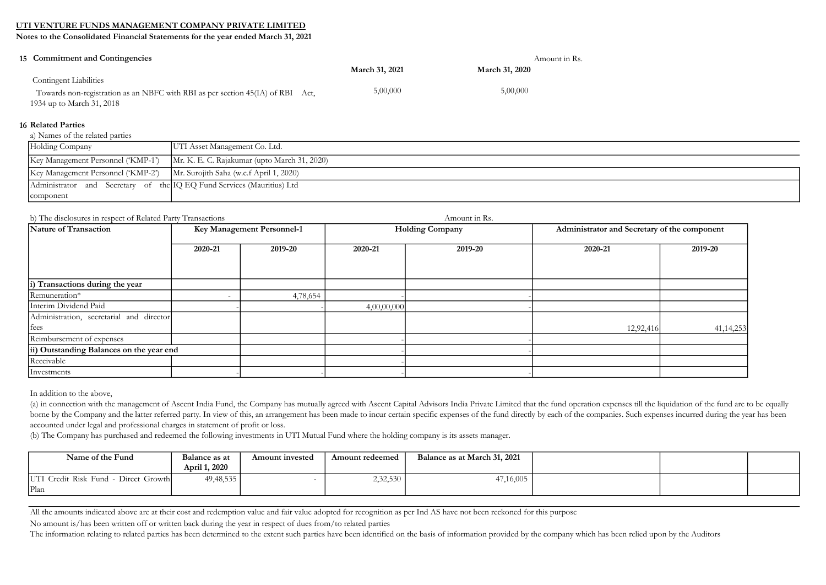Notes to the Consolidated Financial Statements for the year ended March 31, 2021

| 15 Commitment and Contingencies                                                |                       | Amount in Rs.         |  |
|--------------------------------------------------------------------------------|-----------------------|-----------------------|--|
|                                                                                | <b>March 31, 2021</b> | <b>March 31, 2020</b> |  |
| <b>Contingent Liabilities</b>                                                  |                       |                       |  |
| Towards non-registration as an NBFC with RBI as per section 45(IA) of RBI Act, | 5,00,000              | 5,00,000              |  |
| 1934 up to March 31, 2018                                                      |                       |                       |  |

#### 16 Related Parties

a) Names of the related parties

| Holding Company                                                        | UTI Asset Management Co. Ltd.                |
|------------------------------------------------------------------------|----------------------------------------------|
| Key Management Personnel ('KMP-1')                                     | Mr. K. E. C. Rajakumar (upto March 31, 2020) |
| Key Management Personnel ('KMP-2')                                     | Mr. Surojith Saha (w.e.f April 1, 2020)      |
| Administrator and Secretary of the IQ EQ Fund Services (Mauritius) Ltd |                                              |
| component                                                              |                                              |

#### b) The disclosures in respect of Related Party Transactions Amount in Rs.

| Nature of Transaction                    | Key Management Personnel-1 |          | <b>Holding Company</b> |         | Administrator and Secretary of the component |             |
|------------------------------------------|----------------------------|----------|------------------------|---------|----------------------------------------------|-------------|
|                                          | 2020-21                    | 2019-20  | 2020-21                | 2019-20 | 2020-21                                      | 2019-20     |
| i) Transactions during the year          |                            |          |                        |         |                                              |             |
|                                          |                            |          |                        |         |                                              |             |
| Remuneration*                            |                            | 4,78,654 |                        |         |                                              |             |
| Interim Dividend Paid                    |                            |          | 4,00,00,000            |         |                                              |             |
| Administration, secretarial and director |                            |          |                        |         |                                              |             |
| fees                                     |                            |          |                        |         | 12,92,416                                    | 41, 14, 253 |
| Reimbursement of expenses                |                            |          |                        |         |                                              |             |
| ii) Outstanding Balances on the year end |                            |          |                        |         |                                              |             |
| Receivable                               |                            |          |                        |         |                                              |             |
| <i>Investments</i>                       |                            |          |                        |         |                                              |             |

In addition to the above,

(a) in connection with the management of Ascent India Fund, the Company has mutually agreed with Ascent Capital Advisors India Private Limited that the fund operation expenses till the liquidation of the fund are to be equ borne by the Company and the latter referred party. In view of this, an arrangement has been made to incur certain specific expenses of the fund directly by each of the companies. Such expenses incurred during the year has accounted under legal and professional charges in statement of profit or loss.

(b) The Company has purchased and redeemed the following investments in UTI Mutual Fund where the holding company is its assets manager.

| Name of the Fund                      | Balance as at | Amount invested | Amount redeemed | Balance as at March 31, 2021 |  |  |
|---------------------------------------|---------------|-----------------|-----------------|------------------------------|--|--|
|                                       | April 1, 2020 |                 |                 |                              |  |  |
| UTI Credit Risk Fund<br>Direct Growth | 49, 48, 535   |                 | 2,32,530        | 47,16,005                    |  |  |
| Plan                                  |               |                 |                 |                              |  |  |

All the amounts indicated above are at their cost and redemption value and fair value adopted for recognition as per Ind AS have not been reckoned for this purpose

No amount is/has been written off or written back during the year in respect of dues from/to related parties

The information relating to related parties has been determined to the extent such parties have been identified on the basis of information provided by the company which has been relied upon by the Auditors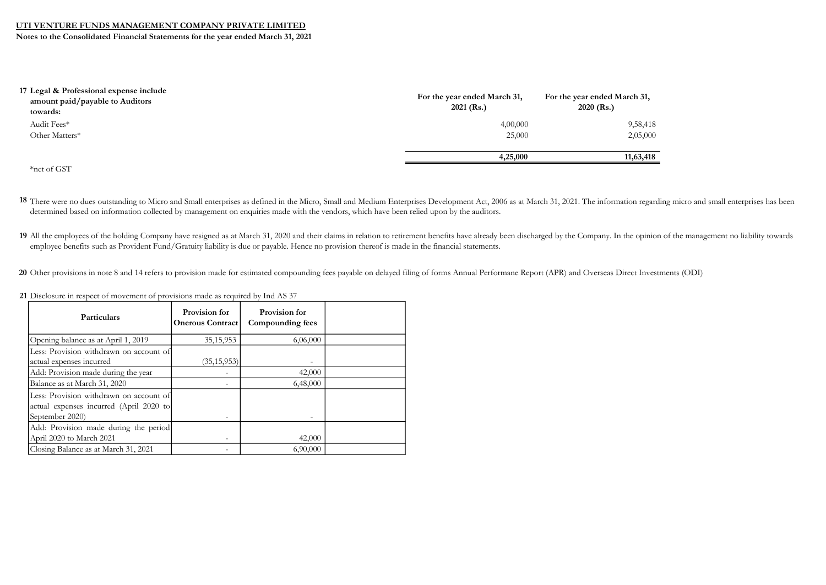Notes to the Consolidated Financial Statements for the year ended March 31, 2021

| 17 Legal & Professional expense include<br>amount paid/payable to Auditors<br>towards: | For the year ended March 31,<br>$2021$ (Rs.) | For the year ended March 31,<br>$2020$ (Rs.) |
|----------------------------------------------------------------------------------------|----------------------------------------------|----------------------------------------------|
| Audit Fees*                                                                            | 4,00,000                                     | 9,58,418                                     |
| Other Matters*                                                                         | 25,000                                       | 2,05,000                                     |
|                                                                                        | 4,25,000                                     | 11,63,418                                    |
| *net of GST                                                                            |                                              |                                              |

18 There were no dues outstanding to Micro and Small enterprises as defined in the Micro, Small and Medium Enterprises Development Act, 2006 as at March 31, 2021. The information regarding micro and small enterprises has b determined based on information collected by management on enquiries made with the vendors, which have been relied upon by the auditors.

19 All the employees of the holding Company have resigned as at March 31, 2020 and their claims in relation to retirement benefits have already been discharged by the Company. In the opinion of the management no liability employee benefits such as Provident Fund/Gratuity liability is due or payable. Hence no provision thereof is made in the financial statements.

20 Other provisions in note 8 and 14 refers to provision made for estimated compounding fees payable on delayed filing of forms Annual Performane Report (APR) and Overseas Direct Investments (ODI)

| Particulars                                                                                           | Provision for<br><b>Onerous Contract</b> | Provision for<br>Compounding fees |  |
|-------------------------------------------------------------------------------------------------------|------------------------------------------|-----------------------------------|--|
| Opening balance as at April 1, 2019                                                                   | 35, 15, 953                              | 6,06,000                          |  |
| Less: Provision withdrawn on account of<br>actual expenses incurred                                   | (35, 15, 953)                            |                                   |  |
| Add: Provision made during the year                                                                   |                                          | 42,000                            |  |
| Balance as at March 31, 2020                                                                          |                                          | 6,48,000                          |  |
| Less: Provision withdrawn on account of<br>actual expenses incurred (April 2020 to<br>September 2020) |                                          |                                   |  |
| Add: Provision made during the period<br>April 2020 to March 2021                                     |                                          | 42,000                            |  |
| Closing Balance as at March 31, 2021                                                                  |                                          | 6,90,000                          |  |

21 Disclosure in respect of movement of provisions made as required by Ind AS 37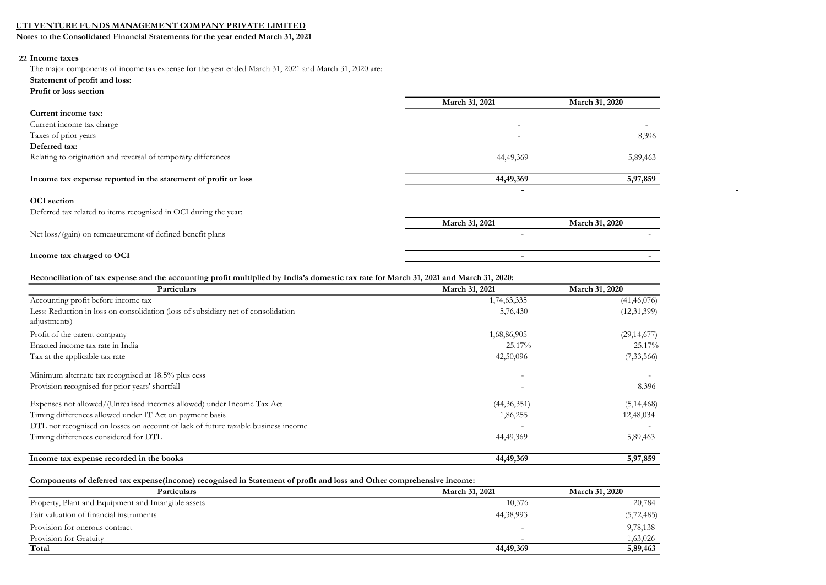Notes to the Consolidated Financial Statements for the year ended March 31, 2021

## 22 Income taxes

The major components of income tax expense for the year ended March 31, 2021 and March 31, 2020 are:

- Statement of profit and loss:
- Profit or loss section

|                                                                  | March 31, 2021           | March 31, 2020           |
|------------------------------------------------------------------|--------------------------|--------------------------|
| Current income tax:                                              |                          |                          |
| Current income tax charge                                        | $\overline{\phantom{m}}$ | $\overline{\phantom{a}}$ |
| Taxes of prior years                                             | $\overline{\phantom{m}}$ | 8,396                    |
| Deferred tax:                                                    |                          |                          |
| Relating to origination and reversal of temporary differences    | 44,49,369                | 5,89,463                 |
|                                                                  |                          |                          |
| Income tax expense reported in the statement of profit or loss   | 44,49,369                | 5,97,859                 |
|                                                                  | $\overline{\phantom{0}}$ |                          |
| <b>OCI</b> section                                               |                          |                          |
| Deferred tax related to items recognised in OCI during the year: |                          |                          |
|                                                                  | March 31, 2021           | March 31, 2020           |
| Net loss/(gain) on remeasurement of defined benefit plans        | $\overline{\phantom{a}}$ |                          |
|                                                                  |                          |                          |
| Income tax charged to OCI                                        | $\overline{\phantom{0}}$ |                          |

#### Reconciliation of tax expense and the accounting profit multiplied by India's domestic tax rate for March 31, 2021 and March 31, 2020:

| Particulars                                                                       | March 31, 2021           | March 31, 2020 |
|-----------------------------------------------------------------------------------|--------------------------|----------------|
| Accounting profit before income tax                                               | 1,74,63,335              | (41, 46, 076)  |
| Less: Reduction in loss on consolidation (loss of subsidiary net of consolidation | 5,76,430                 | (12,31,399)    |
| adjustments)                                                                      |                          |                |
| Profit of the parent company                                                      | 1,68,86,905              | (29, 14, 677)  |
| Enacted income tax rate in India                                                  | 25.17%                   | 25.17%         |
| Tax at the applicable tax rate                                                    | 42,50,096                | (7, 33, 566)   |
| Minimum alternate tax recognised at 18.5% plus cess                               | $\overline{\phantom{0}}$ |                |
| Provision recognised for prior years' shortfall                                   | $\overline{\phantom{0}}$ | 8,396          |
| Expenses not allowed/(Unrealised incomes allowed) under Income Tax Act            | (44,36,351)              | (5, 14, 468)   |
| Timing differences allowed under IT Act on payment basis                          | 1,86,255                 | 12,48,034      |
| DTL not recognised on losses on account of lack of future taxable business income |                          |                |
| Timing differences considered for DTL                                             | 44,49,369                | 5,89,463       |
| Income tax expense recorded in the books                                          | 44,49,369                | 5,97,859       |

#### Components of deferred tax expense(income) recognised in Statement of profit and loss and Other comprehensive income:

| Particulars                                         | March 31, 2021           | March 31, 2020 |
|-----------------------------------------------------|--------------------------|----------------|
| Property, Plant and Equipment and Intangible assets | 10,376                   | 20,784         |
| Fair valuation of financial instruments             | 44, 38, 993              | (5, 72, 485)   |
| Provision for onerous contract                      |                          | 9,78,138       |
| Provision for Gratuity                              | $\overline{\phantom{0}}$ | 1,63,026       |
| Total                                               | 44,49,369                | 5,89,463       |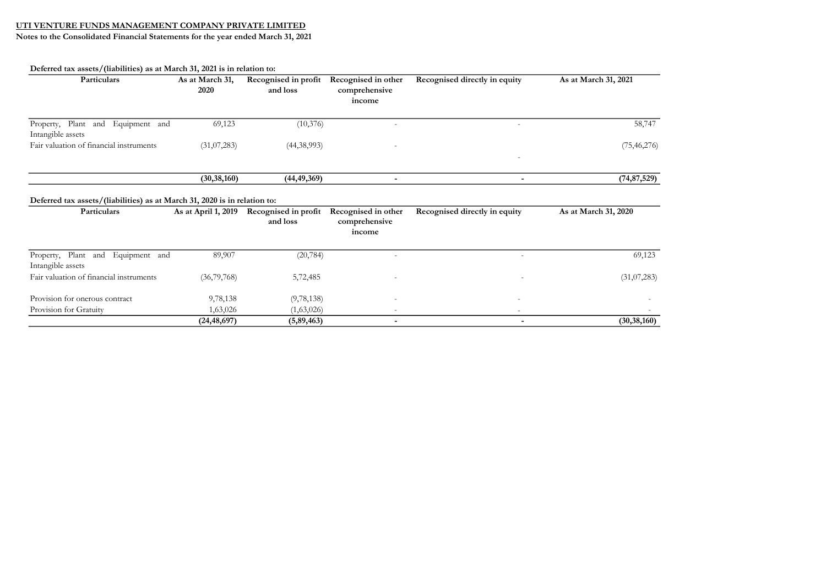| Particulars                                                               | As at March 31,<br>2020 | Recognised in profit<br>and loss | Recognised in other<br>comprehensive<br>income | Recognised directly in equity | As at March 31, 2021 |
|---------------------------------------------------------------------------|-------------------------|----------------------------------|------------------------------------------------|-------------------------------|----------------------|
|                                                                           |                         |                                  |                                                |                               |                      |
| Property, Plant and Equipment and<br>Intangible assets                    | 69,123                  | (10,376)                         |                                                | $\sim$                        | 58,747               |
| Fair valuation of financial instruments                                   | (31,07,283)             | (44,38,993)                      |                                                |                               | (75, 46, 276)        |
|                                                                           | (30, 38, 160)           | (44, 49, 369)                    | $\overline{\phantom{a}}$                       | $\overline{\phantom{a}}$      | (74, 87, 529)        |
| Deferred tax assets/(liabilities) as at March 31, 2020 is in relation to: |                         |                                  |                                                |                               |                      |
| Particulars                                                               | As at April 1, 2019     | Recognised in profit<br>and loss | Recognised in other<br>comprehensive<br>income | Recognised directly in equity | As at March 31, 2020 |
|                                                                           |                         |                                  |                                                |                               |                      |
| Equipment and<br>Property, Plant and<br>Intangible assets                 | 89,907                  | (20, 784)                        |                                                | $\overline{\phantom{0}}$      | 69,123               |
| Fair valuation of financial instruments                                   | (36, 79, 768)           | 5,72,485                         |                                                |                               | (31,07,283)          |
| Provision for onerous contract                                            | 9,78,138                | (9, 78, 138)                     |                                                |                               |                      |
|                                                                           |                         |                                  |                                                |                               |                      |
| Provision for Gratuity                                                    | 1,63,026                | (1,63,026)                       |                                                |                               |                      |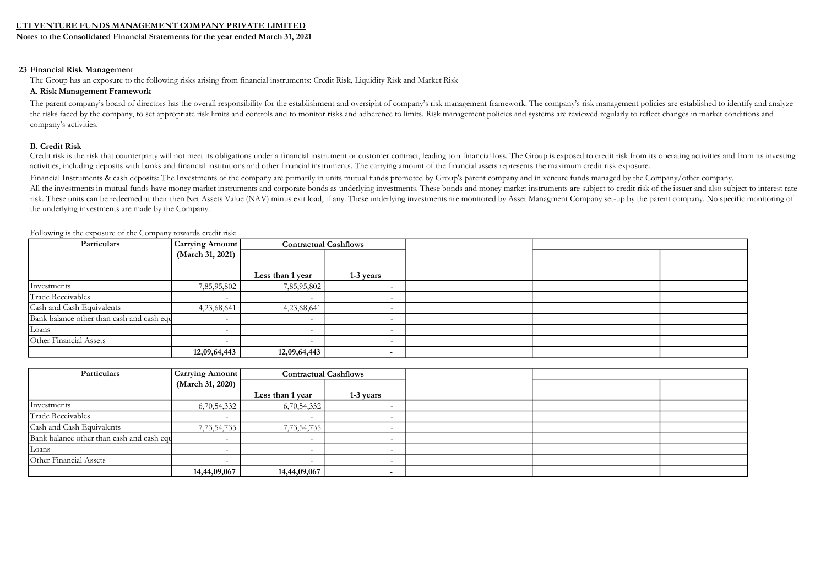Notes to the Consolidated Financial Statements for the year ended March 31, 2021

#### 23 Financial Risk Management

The Group has an exposure to the following risks arising from financial instruments: Credit Risk, Liquidity Risk and Market Risk

#### A. Risk Management Framework

The parent company's board of directors has the overall responsibility for the establishment and oversight of company's risk management framework. The company's risk management policies are established to identify and anal the risks faced by the company, to set appropriate risk limits and controls and to monitor risks and adherence to limits. Risk management policies and systems are reviewed regularly to reflect changes in market conditions company's activities.

#### B. Credit Risk

Credit risk is the risk that counterparty will not meet its obligations under a financial instrument or customer contract, leading to a financial loss. The Group is exposed to credit risk from its operating activities and activities, including deposits with banks and financial institutions and other financial instruments. The carrying amount of the financial assets represents the maximum credit risk exposure.

Financial Instruments & cash deposits: The Investments of the company are primarily in units mutual funds promoted by Group's parent company and in venture funds managed by the Company/other company.

All the investments in mutual funds have money market instruments and corporate bonds as underlying investments. These bonds and money market instruments are subject to credit risk of the issuer and also subject to interes risk. These units can be redeemed at their then Net Assets Value (NAV) minus exit load, if any. These underlying investments are monitored by Asset Managment Company set-up by the parent company. No specific monitoring of the underlying investments are made by the Company.

| Particulars                               | Carrying Amount  | <b>Contractual Cashflows</b> |                          |  |  |
|-------------------------------------------|------------------|------------------------------|--------------------------|--|--|
|                                           | (March 31, 2021) |                              |                          |  |  |
|                                           |                  |                              |                          |  |  |
|                                           |                  | Less than 1 year             | 1-3 years                |  |  |
| Investments                               | 7,85,95,802      | 7,85,95,802                  |                          |  |  |
| Trade Receivables                         |                  |                              | $\overline{\phantom{0}}$ |  |  |
| Cash and Cash Equivalents                 | 4,23,68,641      | 4,23,68,641                  |                          |  |  |
| Bank balance other than cash and cash equ |                  |                              |                          |  |  |
| Loans                                     |                  | $\overline{\phantom{a}}$     | $\overline{\phantom{0}}$ |  |  |
| Other Financial Assets                    |                  | $\overline{\phantom{a}}$     |                          |  |  |
|                                           | 12,09,64,443     | 12,09,64,443                 |                          |  |  |

Following is the exposure of the Company towards credit risk:

| Particulars                               | Carrying Amount          | <b>Contractual Cashflows</b> |           |  |  |
|-------------------------------------------|--------------------------|------------------------------|-----------|--|--|
|                                           | (March 31, 2020)         |                              |           |  |  |
|                                           |                          | Less than 1 year             | 1-3 years |  |  |
| Investments                               | 6,70,54,332              | 6,70,54,332                  |           |  |  |
| Trade Receivables                         |                          |                              |           |  |  |
| Cash and Cash Equivalents                 | 7,73,54,735              | 7,73,54,735                  |           |  |  |
| Bank balance other than cash and cash equ | $\overline{\phantom{a}}$ |                              |           |  |  |
| Loans                                     |                          |                              |           |  |  |
| Other Financial Assets                    |                          |                              |           |  |  |
|                                           | 14,44,09,067             | 14,44,09,067                 |           |  |  |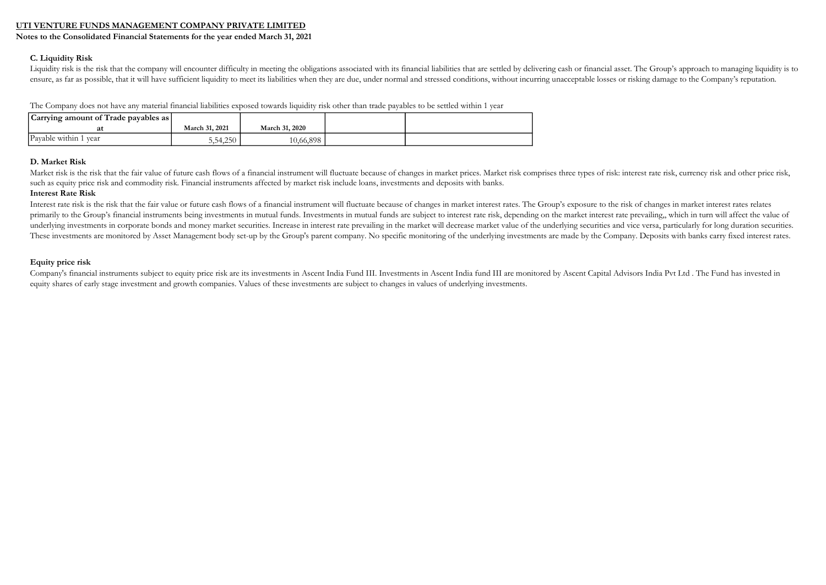Notes to the Consolidated Financial Statements for the year ended March 31, 2021

#### C. Liquidity Risk

Liquidity risk is the risk that the company will encounter difficulty in meeting the obligations associated with its financial liabilities that are settled by delivering cash or financial asset. The Group's approach to man ensure, as far as possible, that it will have sufficient liquidity to meet its liabilities when they are due, under normal and stressed conditions, without incurring unacceptable losses or risking damage to the Company's r

The Company does not have any material financial liabilities exposed towards liquidity risk other than trade payables to be settled within 1 year

| Carrying amount of Trade payables as |                |                |  |
|--------------------------------------|----------------|----------------|--|
| at                                   | March 31, 2021 | March 31, 2020 |  |
| Payable within 1 year                | 5,54,250       | 10,66,898      |  |

#### D. Market Risk

Market risk is the risk that the fair value of future cash flows of a financial instrument will fluctuate because of changes in market prices. Market risk comprises three types of risk: interest rate risk, currency risk an such as equity price risk and commodity risk. Financial instruments affected by market risk include loans, investments and deposits with banks.

#### Interest Rate Risk

Interest rate risk is the risk that the fair value or future cash flows of a financial instrument will fluctuate because of changes in market interest rates. The Group's exposure to the risk of changes in market interest r primarily to the Group's financial instruments being investments in mutual funds. Investments in mutual funds are subject to interest rate risk, depending on the market interest rate prevailing,, which in turn will affect underlying investments in corporate bonds and money market securities. Increase in interest rate prevailing in the market will decrease market value of the underlying securities and vice versa, particularly for long durati These investments are monitored by Asset Management body set-up by the Group's parent company. No specific monitoring of the underlying investments are made by the Company. Deposits with banks carry fixed interest rates.

#### Equity price risk

Company's financial instruments subject to equity price risk are its investments in Ascent India Fund III. Investments in Ascent India fund III are monitored by Ascent Capital Advisors India Pvt Ltd. The Fund has invested equity shares of early stage investment and growth companies. Values of these investments are subject to changes in values of underlying investments.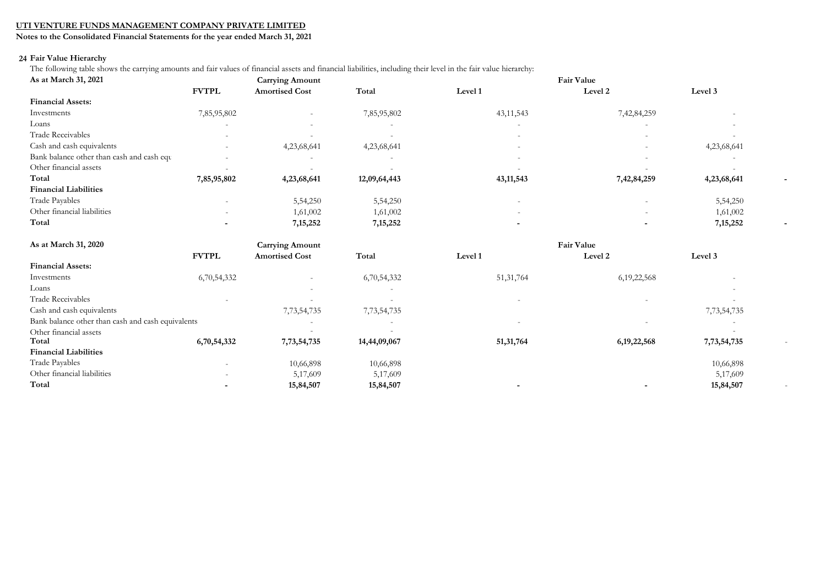Notes to the Consolidated Financial Statements for the year ended March 31, 2021

## 24 Fair Value Hierarchy

The following table shows the carrying amounts and fair values of financial assets and financial liabilities, including their level in the fair value hierarchy:

| As at March 31, 2021                              | <b>Carrying Amount</b> |                        |              | Fair Value  |                   |             |  |
|---------------------------------------------------|------------------------|------------------------|--------------|-------------|-------------------|-------------|--|
|                                                   | <b>FVTPL</b>           | <b>Amortised Cost</b>  | Total        | Level 1     | Level 2           | Level 3     |  |
| <b>Financial Assets:</b>                          |                        |                        |              |             |                   |             |  |
| Investments                                       | 7,85,95,802            |                        | 7,85,95,802  | 43, 11, 543 | 7,42,84,259       |             |  |
| Loans                                             |                        |                        |              |             |                   |             |  |
| <b>Trade Receivables</b>                          |                        |                        |              |             |                   |             |  |
| Cash and cash equivalents                         |                        | 4,23,68,641            | 4,23,68,641  |             |                   | 4,23,68,641 |  |
| Bank balance other than cash and cash equ         |                        |                        |              |             |                   |             |  |
| Other financial assets                            |                        |                        |              |             |                   |             |  |
| Total                                             | 7,85,95,802            | 4,23,68,641            | 12,09,64,443 | 43, 11, 543 | 7,42,84,259       | 4,23,68,641 |  |
| <b>Financial Liabilities</b>                      |                        |                        |              |             |                   |             |  |
| Trade Payables                                    |                        | 5,54,250               | 5,54,250     |             |                   | 5,54,250    |  |
| Other financial liabilities                       |                        | 1,61,002               | 1,61,002     |             |                   | 1,61,002    |  |
| Total                                             |                        | 7, 15, 252             | 7, 15, 252   |             |                   | 7, 15, 252  |  |
| As at March 31, 2020                              |                        | <b>Carrying Amount</b> |              |             | <b>Fair Value</b> |             |  |
|                                                   | <b>FVTPL</b>           | <b>Amortised Cost</b>  | Total        | Level 1     | Level 2           | Level 3     |  |
| <b>Financial Assets:</b>                          |                        |                        |              |             |                   |             |  |
| Investments                                       | 6,70,54,332            |                        | 6,70,54,332  | 51, 31, 764 | 6, 19, 22, 568    |             |  |
| Loans                                             |                        |                        |              |             |                   |             |  |
| <b>Trade Receivables</b>                          |                        |                        |              |             |                   |             |  |
| Cash and cash equivalents                         |                        | 7,73,54,735            | 7,73,54,735  |             |                   | 7,73,54,735 |  |
| Bank balance other than cash and cash equivalents |                        |                        |              |             |                   |             |  |
| Other financial assets                            |                        |                        |              |             |                   |             |  |
| Total                                             | 6,70,54,332            | 7,73,54,735            | 14,44,09,067 | 51,31,764   | 6, 19, 22, 568    | 7,73,54,735 |  |
| <b>Financial Liabilities</b>                      |                        |                        |              |             |                   |             |  |
| Trade Payables                                    |                        | 10,66,898              | 10,66,898    |             |                   | 10,66,898   |  |
| Other financial liabilities                       |                        | 5,17,609               | 5,17,609     |             |                   | 5,17,609    |  |
| Total                                             |                        | 15,84,507              | 15,84,507    |             |                   | 15,84,507   |  |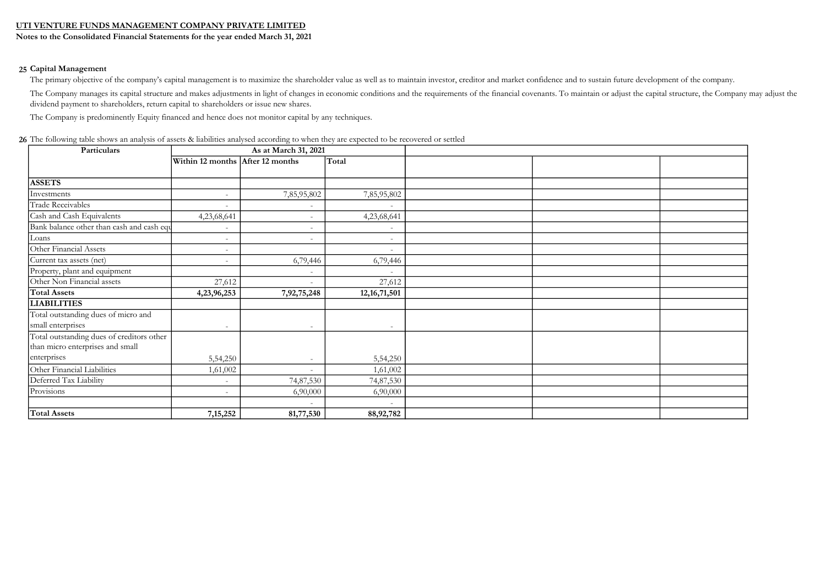Notes to the Consolidated Financial Statements for the year ended March 31, 2021

#### 25 Capital Management

The primary objective of the company's capital management is to maximize the shareholder value as well as to maintain investor, creditor and market confidence and to sustain future development of the company.

The Company manages its capital structure and makes adjustments in light of changes in economic conditions and the requirements of the financial covenants. To maintain or adjust the capital structure, the Company may adjus dividend payment to shareholders, return capital to shareholders or issue new shares.

The Company is predominently Equity financed and hence does not monitor capital by any techniques.

| Particulars<br>As at March 31, 2021       |                                  |                          |                          |  |
|-------------------------------------------|----------------------------------|--------------------------|--------------------------|--|
|                                           | Within 12 months After 12 months |                          | Total                    |  |
|                                           |                                  |                          |                          |  |
| <b>ASSETS</b>                             |                                  |                          |                          |  |
| Investments                               | $\overline{\phantom{a}}$         | 7,85,95,802              | 7,85,95,802              |  |
| Trade Receivables                         | $\overline{\phantom{a}}$         |                          |                          |  |
| Cash and Cash Equivalents                 | 4,23,68,641                      | $\overline{\phantom{a}}$ | 4,23,68,641              |  |
| Bank balance other than cash and cash equ |                                  | $\overline{\phantom{a}}$ |                          |  |
| Loans                                     | $\overline{a}$                   | $\overline{\phantom{a}}$ |                          |  |
| Other Financial Assets                    | $\equiv$                         |                          | $\sim$                   |  |
| Current tax assets (net)                  | $\overline{a}$                   | 6,79,446                 | 6,79,446                 |  |
| Property, plant and equipment             |                                  | $\overline{\phantom{a}}$ |                          |  |
| Other Non Financial assets                | 27,612                           | $\sim$                   | 27,612                   |  |
| <b>Total Assets</b>                       | 4,23,96,253                      | 7,92,75,248              | 12, 16, 71, 501          |  |
| <b>LIABILITIES</b>                        |                                  |                          |                          |  |
| Total outstanding dues of micro and       |                                  |                          |                          |  |
| small enterprises                         | $\overline{\phantom{a}}$         | $\sim$                   | $\overline{\phantom{a}}$ |  |
| Total outstanding dues of creditors other |                                  |                          |                          |  |
| than micro enterprises and small          |                                  |                          |                          |  |
| enterprises                               | 5,54,250                         |                          | 5,54,250                 |  |
| Other Financial Liabilities               | 1,61,002                         |                          | 1,61,002                 |  |
| Deferred Tax Liability                    |                                  | 74,87,530                | 74,87,530                |  |
| Provisions                                | $\overline{a}$                   | 6,90,000                 | 6,90,000                 |  |
|                                           |                                  | $\sim$                   |                          |  |
| <b>Total Assets</b>                       | 7, 15, 252                       | 81,77,530                | 88, 92, 782              |  |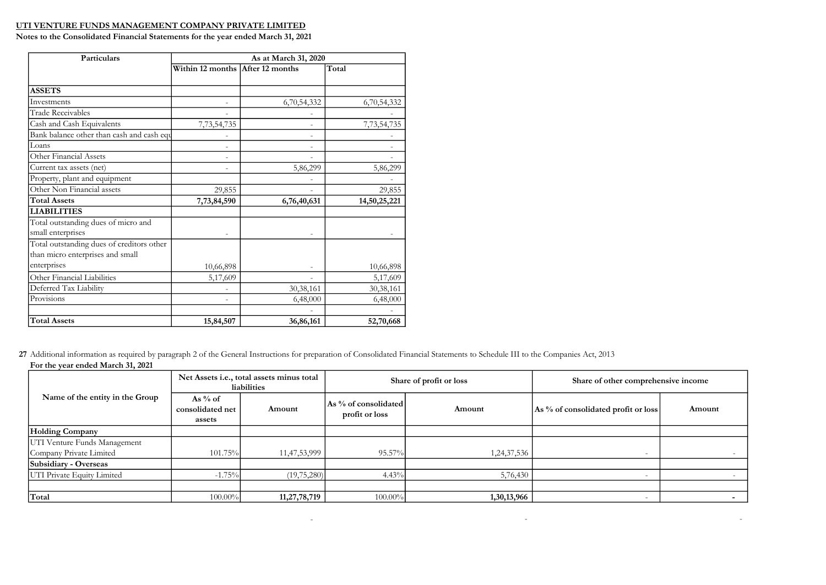Notes to the Consolidated Financial Statements for the year ended March 31, 2021

| <b>Particulars</b>                        | As at March 31, 2020             |             |              |  |  |  |
|-------------------------------------------|----------------------------------|-------------|--------------|--|--|--|
|                                           | Within 12 months After 12 months |             | Total        |  |  |  |
| <b>ASSETS</b>                             |                                  |             |              |  |  |  |
| Investments                               |                                  |             |              |  |  |  |
| <b>Trade Receivables</b>                  |                                  | 6,70,54,332 | 6,70,54,332  |  |  |  |
|                                           |                                  |             |              |  |  |  |
| Cash and Cash Equivalents                 | 7,73,54,735                      |             | 7,73,54,735  |  |  |  |
| Bank balance other than cash and cash equ |                                  |             |              |  |  |  |
| Loans                                     |                                  |             |              |  |  |  |
| Other Financial Assets                    |                                  |             |              |  |  |  |
| Current tax assets (net)                  |                                  | 5,86,299    | 5,86,299     |  |  |  |
| Property, plant and equipment             |                                  |             |              |  |  |  |
| Other Non Financial assets                | 29,855                           |             | 29,855       |  |  |  |
| <b>Total Assets</b>                       | 7,73,84,590                      | 6,76,40,631 | 14,50,25,221 |  |  |  |
| LIABILITIES                               |                                  |             |              |  |  |  |
| Total outstanding dues of micro and       |                                  |             |              |  |  |  |
| small enterprises                         |                                  |             |              |  |  |  |
| Total outstanding dues of creditors other |                                  |             |              |  |  |  |
| than micro enterprises and small          |                                  |             |              |  |  |  |
| enterprises                               | 10,66,898                        |             | 10,66,898    |  |  |  |
| Other Financial Liabilities               | 5,17,609                         |             | 5,17,609     |  |  |  |
| Deferred Tax Liability                    |                                  | 30,38,161   | 30,38,161    |  |  |  |
| Provisions                                |                                  | 6,48,000    | 6,48,000     |  |  |  |
|                                           |                                  |             |              |  |  |  |
| <b>Total Assets</b>                       | 15,84,507                        | 36,86,161   | 52,70,668    |  |  |  |

27 Additional information as required by paragraph 2 of the General Instructions for preparation of Consolidated Financial Statements to Schedule III to the Companies Act, 2013 For the year ended March 31, 2021

|                                                         | Net Assets <i>i.e.</i> , total assets minus total<br>liabilities |              | Share of profit or loss                |             | Share of other comprehensive income |        |
|---------------------------------------------------------|------------------------------------------------------------------|--------------|----------------------------------------|-------------|-------------------------------------|--------|
| Name of the entity in the Group                         | As $%$ of<br>consolidated net<br>assets                          | Amount       | As % of consolidated<br>profit or loss | Amount      | As % of consolidated profit or loss | Amount |
| <b>Holding Company</b>                                  |                                                                  |              |                                        |             |                                     |        |
| UTI Venture Funds Management<br>Company Private Limited | 101.75%                                                          | 11,47,53,999 | 95.57%                                 | 1,24,37,536 |                                     |        |
| <b>Subsidiary - Overseas</b>                            |                                                                  |              |                                        |             |                                     |        |
| UTI Private Equity Limited                              | $-1.75%$                                                         | (19,75,280)  | 4.43%                                  | 5,76,430    |                                     |        |
|                                                         |                                                                  |              |                                        |             |                                     |        |
| Total                                                   | $100.00\%$                                                       | 11,27,78,719 | 100.00%                                | 1,30,13,966 |                                     |        |

- - -